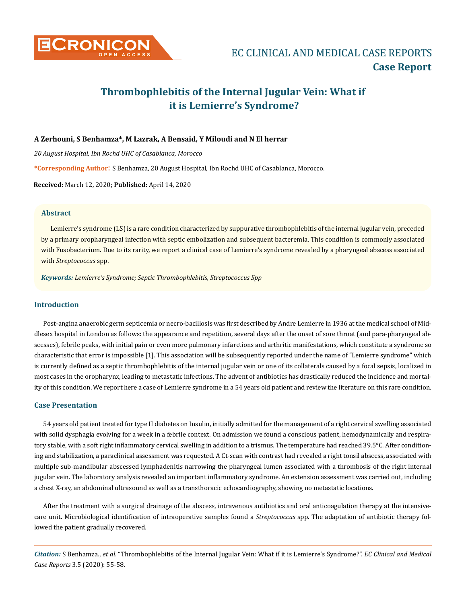

# **Thrombophlebitis of the Internal Jugular Vein: What if it is Lemierre's Syndrome?**

## **A Zerhouni, S Benhamza\*, M Lazrak, A Bensaid, Y Miloudi and N El herrar**

*20 August Hospital, Ibn Rochd UHC of Casablanca, Morocco*

**\*Corresponding Author**: S Benhamza, 20 August Hospital, Ibn Rochd UHC of Casablanca, Morocco.

**Received:** March 12, 2020; **Published:** April 14, 2020

## **Abstract**

Lemierre's syndrome (LS) is a rare condition characterized by suppurative thrombophlebitis of the internal jugular vein, preceded by a primary oropharyngeal infection with septic embolization and subsequent bacteremia. This condition is commonly associated with Fusobacterium. Due to its rarity, we report a clinical case of Lemierre's syndrome revealed by a pharyngeal abscess associated with *Streptococcus* spp.

*Keywords: Lemierre's Syndrome; Septic Thrombophlebitis, Streptococcus Spp*

# **Introduction**

Post-angina anaerobic germ septicemia or necro-bacillosis was first described by Andre Lemierre in 1936 at the medical school of Middlesex hospital in London as follows: the appearance and repetition, several days after the onset of sore throat (and para-pharyngeal abscesses), febrile peaks, with initial pain or even more pulmonary infarctions and arthritic manifestations, which constitute a syndrome so characteristic that error is impossible [1]. This association will be subsequently reported under the name of "Lemierre syndrome" which is currently defined as a septic thrombophlebitis of the internal jugular vein or one of its collaterals caused by a focal sepsis, localized in most cases in the oropharynx, leading to metastatic infections. The advent of antibiotics has drastically reduced the incidence and mortality of this condition. We report here a case of Lemierre syndrome in a 54 years old patient and review the literature on this rare condition.

#### **Case Presentation**

54 years old patient treated for type II diabetes on Insulin, initially admitted for the management of a right cervical swelling associated with solid dysphagia evolving for a week in a febrile context. On admission we found a conscious patient, hemodynamically and respiratory stable, with a soft right inflammatory cervical swelling in addition to a trismus. The temperature had reached 39.5°C. After conditioning and stabilization, a paraclinical assessment was requested. A Ct-scan with contrast had revealed a right tonsil abscess, associated with multiple sub-mandibular abscessed lymphadenitis narrowing the pharyngeal lumen associated with a thrombosis of the right internal jugular vein. The laboratory analysis revealed an important inflammatory syndrome. An extension assessment was carried out, including a chest X-ray, an abdominal ultrasound as well as a transthoracic echocardiography, showing no metastatic locations.

After the treatment with a surgical drainage of the abscess, intravenous antibiotics and oral anticoagulation therapy at the intensivecare unit. Microbiological identification of intraoperative samples found a *Streptococcus* spp. The adaptation of antibiotic therapy followed the patient gradually recovered.

*Citation:* S Benhamza., *et al*. "Thrombophlebitis of the Internal Jugular Vein: What if it is Lemierre's Syndrome?". *EC Clinical and Medical Case Reports* 3.5 (2020): 55-58.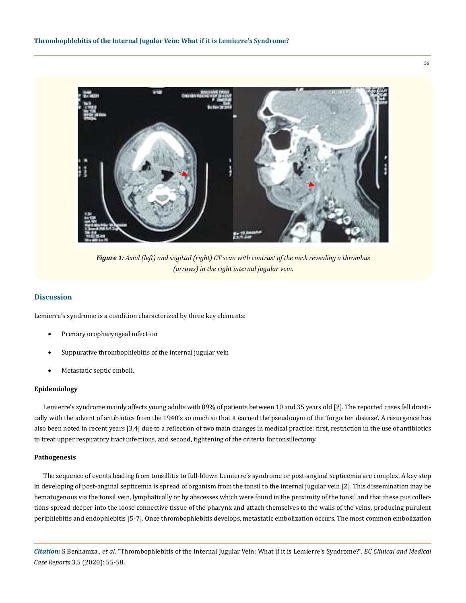

*Figure 1: Axial (left) and sagittal (right) CT scan with contrast of the neck revealing a thrombus (arrows) in the right internal jugular vein.*

# **Discussion**

Lemierre's syndrome is a condition characterized by three key elements:

- Primary oropharyngeal infection
- Suppurative thrombophlebitis of the internal jugular vein
- Metastatic septic emboli.

#### **Epidemiology**

Lemierre's syndrome mainly affects young adults with 89% of patients between 10 and 35 years old [2]. The reported cases fell drastically with the advent of antibiotics from the 1940's so much so that it earned the pseudonym of the 'forgotten disease'. A resurgence has also been noted in recent years [3,4] due to a reflection of two main changes in medical practice: first, restriction in the use of antibiotics to treat upper respiratory tract infections, and second, tightening of the criteria for tonsillectomy.

#### **Pathogenesis**

The sequence of events leading from tonsillitis to full-blown Lemierre's syndrome or post-anginal septicemia are complex. A key step in developing of post-anginal septicemia is spread of organism from the tonsil to the internal jugular vein [2]. This dissemination may be hematogenous via the tonsil vein, lymphatically or by abscesses which were found in the proximity of the tonsil and that these pus collections spread deeper into the loose connective tissue of the pharynx and attach themselves to the walls of the veins, producing purulent periphlebitis and endophlebitis [5-7]. Once thrombophlebitis develops, metastatic embolization occurs. The most common embolization

*Citation:* S Benhamza., *et al*. "Thrombophlebitis of the Internal Jugular Vein: What if it is Lemierre's Syndrome?". *EC Clinical and Medical Case Reports* 3.5 (2020): 55-58.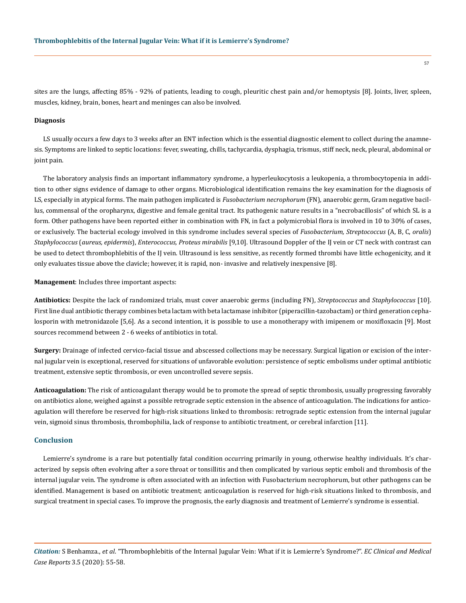sites are the lungs, affecting 85% - 92% of patients, leading to cough, pleuritic chest pain and/or hemoptysis [8]. Joints, liver, spleen, muscles, kidney, brain, bones, heart and meninges can also be involved.

#### **Diagnosis**

LS usually occurs a few days to 3 weeks after an ENT infection which is the essential diagnostic element to collect during the anamnesis. Symptoms are linked to septic locations: fever, sweating, chills, tachycardia, dysphagia, trismus, stiff neck, neck, pleural, abdominal or joint pain.

The laboratory analysis finds an important inflammatory syndrome, a hyperleukocytosis a leukopenia, a thrombocytopenia in addition to other signs evidence of damage to other organs. Microbiological identification remains the key examination for the diagnosis of LS, especially in atypical forms. The main pathogen implicated is *Fusobacterium necrophorum* (FN), anaerobic germ, Gram negative bacillus, commensal of the oropharynx, digestive and female genital tract. Its pathogenic nature results in a "necrobacillosis" of which SL is a form. Other pathogens have been reported either in combination with FN, in fact a polymicrobial flora is involved in 10 to 30% of cases, or exclusively. The bacterial ecology involved in this syndrome includes several species of *Fusobacterium, Streptococcus* (A, B, C, *oralis*) *Staphylococcus* (*aureus, epidermis*), *Enterococcus, Proteus mirabilis* [9,10]. Ultrasound Doppler of the IJ vein or CT neck with contrast can be used to detect thrombophlebitis of the IJ vein. Ultrasound is less sensitive, as recently formed thrombi have little echogenicity, and it only evaluates tissue above the clavicle; however, it is rapid, non- invasive and relatively inexpensive [8].

**Management**: Includes three important aspects:

**Antibiotics:** Despite the lack of randomized trials, must cover anaerobic germs (including FN), *Streptococcus* and *Staphylococcus* [10]. First line dual antibiotic therapy combines beta lactam with beta lactamase inhibitor (piperacillin-tazobactam) or third generation cephalosporin with metronidazole [5,6]. As a second intention, it is possible to use a monotherapy with imipenem or moxifloxacin [9]. Most sources recommend between 2 - 6 weeks of antibiotics in total.

**Surgery:** Drainage of infected cervico-facial tissue and abscessed collections may be necessary. Surgical ligation or excision of the internal jugular vein is exceptional, reserved for situations of unfavorable evolution: persistence of septic embolisms under optimal antibiotic treatment, extensive septic thrombosis, or even uncontrolled severe sepsis.

**Anticoagulation:** The risk of anticoagulant therapy would be to promote the spread of septic thrombosis, usually progressing favorably on antibiotics alone, weighed against a possible retrograde septic extension in the absence of anticoagulation. The indications for anticoagulation will therefore be reserved for high-risk situations linked to thrombosis: retrograde septic extension from the internal jugular vein, sigmoid sinus thrombosis, thrombophilia, lack of response to antibiotic treatment, or cerebral infarction [11].

#### **Conclusion**

Lemierre's syndrome is a rare but potentially fatal condition occurring primarily in young, otherwise healthy individuals. It's characterized by sepsis often evolving after a sore throat or tonsillitis and then complicated by various septic emboli and thrombosis of the internal jugular vein. The syndrome is often associated with an infection with Fusobacterium necrophorum, but other pathogens can be identified. Management is based on antibiotic treatment; anticoagulation is reserved for high-risk situations linked to thrombosis, and surgical treatment in special cases. To improve the prognosis, the early diagnosis and treatment of Lemierre's syndrome is essential.